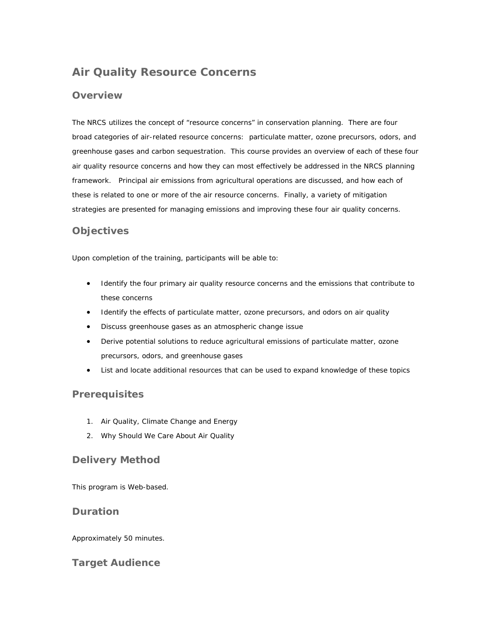# **Air Quality Resource Concerns**

# **Overview**

The NRCS utilizes the concept of "resource concerns" in conservation planning. There are four broad categories of air-related resource concerns: particulate matter, ozone precursors, odors, and greenhouse gases and carbon sequestration. This course provides an overview of each of these four air quality resource concerns and how they can most effectively be addressed in the NRCS planning framework. Principal air emissions from agricultural operations are discussed, and how each of these is related to one or more of the air resource concerns. Finally, a variety of mitigation strategies are presented for managing emissions and improving these four air quality concerns.

# **Objectives**

Upon completion of the training, participants will be able to:

- Identify the four primary air quality resource concerns and the emissions that contribute to these concerns
- Identify the effects of particulate matter, ozone precursors, and odors on air quality
- Discuss greenhouse gases as an atmospheric change issue
- Derive potential solutions to reduce agricultural emissions of particulate matter, ozone precursors, odors, and greenhouse gases
- List and locate additional resources that can be used to expand knowledge of these topics

### **Prerequisites**

- 1. Air Quality, Climate Change and Energy
- 2. Why Should We Care About Air Quality

# **Delivery Method**

This program is Web-based.

# **Duration**

Approximately 50 minutes.

# **Target Audience**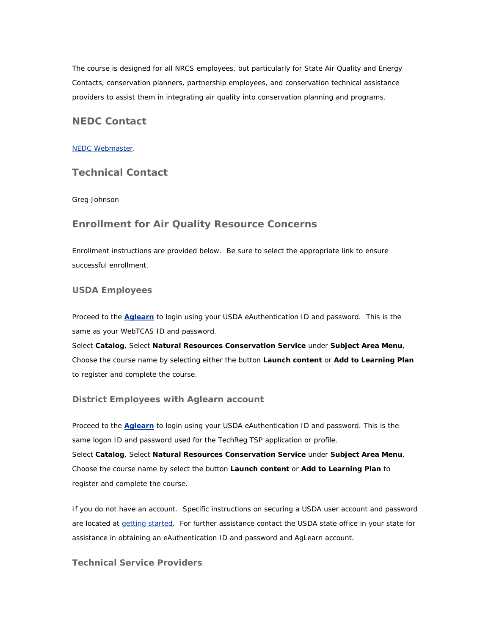The course is designed for all NRCS employees, but particularly for State Air Quality and Energy Contacts, conservation planners, partnership employees, and conservation technical assistance providers to assist them in integrating air quality into conservation planning and programs.

### **NEDC Contact**

#### [NEDC Webmaster.](mailto:sudha.sriparameswara@ftw.usda.gov)

## **Technical Contact**

Greg Johnson

## **Enrollment for Air Quality Resource Concerns**

Enrollment instructions are provided below. Be sure to select the appropriate link to ensure successful enrollment.

### **USDA Employees**

Proceed to the **[Aglearn](http://www.aglearn.usda.gov/)** to login using your USDA eAuthentication ID and password. This is the same as your WebTCAS ID and password.

Select **Catalog**, Select **Natural Resources Conservation Service** under **Subject Area Menu**, Choose the course name by selecting either the button **Launch content** or **Add to Learning Plan** to register and complete the course.

#### **District Employees with Aglearn account**

Proceed to the **[Aglearn](http://www.aglearn.usda.gov/)** to login using your USDA eAuthentication ID and password. This is the same logon ID and password used for the TechReg TSP application or profile. Select **Catalog**, Select **Natural Resources Conservation Service** under **Subject Area Menu**, Choose the course name by select the button **Launch content** or **Add to Learning Plan** to register and complete the course.

If you do not have an account. Specific instructions on securing a USDA user account and password are located at [getting started](http://forms.sc.egov.usda.gov/eforms/Help/whyregister.html). For further assistance contact the USDA state office in your state for assistance in obtaining an eAuthentication ID and password and AgLearn account.

### **Technical Service Providers**